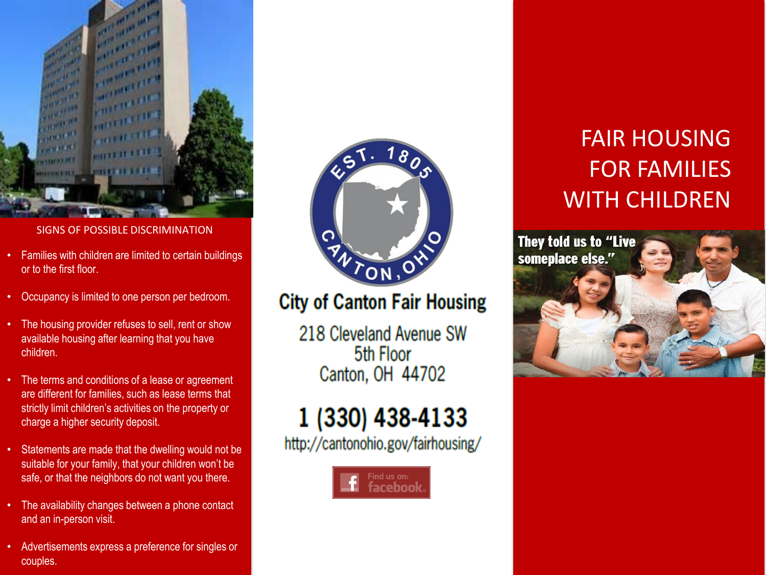

#### SIGNS OF POSSIBLE DISCRIMINATION

- Families with children are limited to certain buildings or to the first floor.
- Occupancy is limited to one person per bedroom.
- The housing provider refuses to sell, rent or show available housing after learning that you have children.
- The terms and conditions of a lease or agreement are different for families, such as lease terms that strictly limit children's activities on the property or charge a higher security deposit.
- Statements are made that the dwelling would not be suitable for your family, that your children won't be safe, or that the neighbors do not want you there.
- The availability changes between a phone contact and an in -person visit.
- Advertisements express a preference for singles or couples.



## **City of Canton Fair Housing**

218 Cleveland Avenue SW 5th Floor Canton, OH 44702

# 1 (330) 438-4133

http://cantonohio.gov/fairhousing/



## FAIR HOUSING FOR FAMILIES WITH CHILDREN